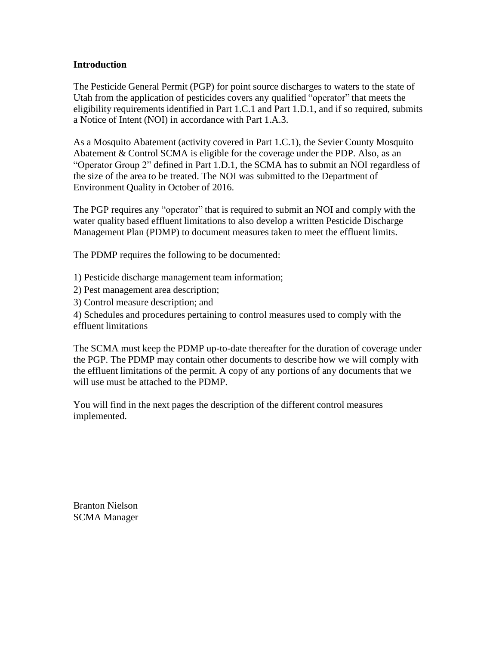## **Introduction**

The Pesticide General Permit (PGP) for point source discharges to waters to the state of Utah from the application of pesticides covers any qualified "operator" that meets the eligibility requirements identified in Part 1.C.1 and Part 1.D.1, and if so required, submits a Notice of Intent (NOI) in accordance with Part 1.A.3.

As a Mosquito Abatement (activity covered in Part 1.C.1), the Sevier County Mosquito Abatement & Control SCMA is eligible for the coverage under the PDP. Also, as an "Operator Group 2" defined in Part 1.D.1, the SCMA has to submit an NOI regardless of the size of the area to be treated. The NOI was submitted to the Department of Environment Quality in October of 2016.

The PGP requires any "operator" that is required to submit an NOI and comply with the water quality based effluent limitations to also develop a written Pesticide Discharge Management Plan (PDMP) to document measures taken to meet the effluent limits.

The PDMP requires the following to be documented:

- 1) Pesticide discharge management team information;
- 2) Pest management area description;
- 3) Control measure description; and

4) Schedules and procedures pertaining to control measures used to comply with the effluent limitations

The SCMA must keep the PDMP up-to-date thereafter for the duration of coverage under the PGP. The PDMP may contain other documents to describe how we will comply with the effluent limitations of the permit. A copy of any portions of any documents that we will use must be attached to the PDMP.

You will find in the next pages the description of the different control measures implemented.

Branton Nielson SCMA Manager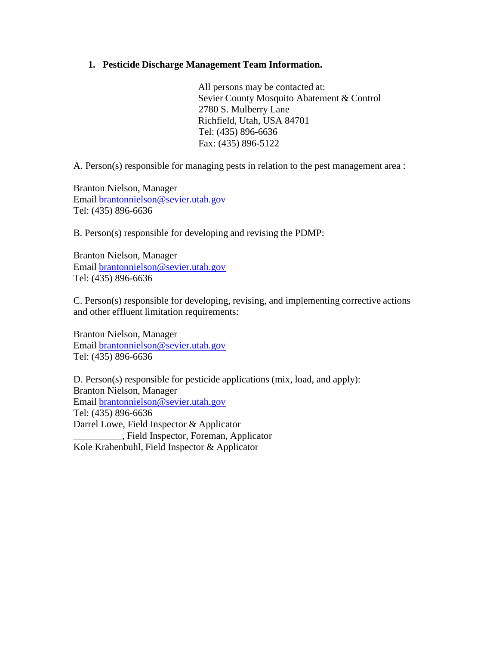## **1. Pesticide Discharge Management Team Information.**

All persons may be contacted at: Sevier County Mosquito Abatement & Control 2780 S. Mulberry Lane Richfield, Utah, USA 84701 Tel: (435) 896-6636 Fax: (435) 896-5122

A. Person(s) responsible for managing pests in relation to the pest management area :

Branton Nielson, Manager Email brantonnielson@sevier.utah.gov Tel: (435) 896-6636

B. Person(s) responsible for developing and revising the PDMP:

Branton Nielson, Manager Email brantonnielson@sevier.utah.gov Tel: (435) 896-6636

C. Person(s) responsible for developing, revising, and implementing corrective actions and other effluent limitation requirements:

Branton Nielson, Manager Email brantonnielson@sevier.utah.gov Tel: (435) 896-6636

D. Person(s) responsible for pesticide applications (mix, load, and apply): Branton Nielson, Manager Email brantonnielson@sevier.utah.gov Tel: (435) 896-6636 Darrel Lowe, Field Inspector & Applicator \_\_\_\_\_\_\_\_\_\_, Field Inspector, Foreman, Applicator Kole Krahenbuhl, Field Inspector & Applicator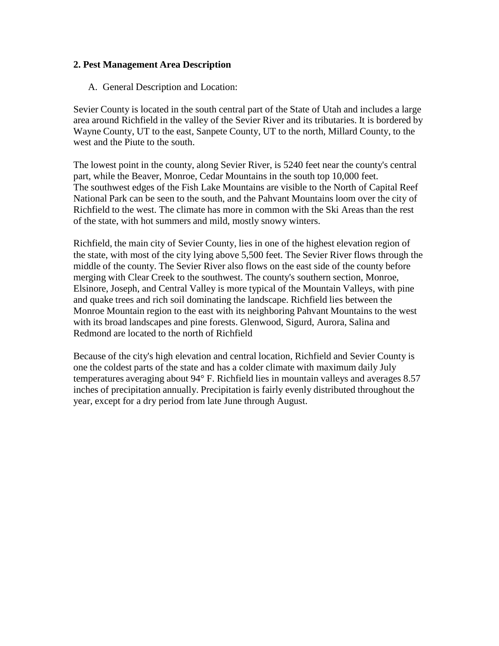### **2. Pest Management Area Description**

A. General Description and Location:

Sevier County is located in the south central part of the State of Utah and includes a large area around Richfield in the valley of the Sevier River and its tributaries. It is bordered by Wayne County, UT to the east, Sanpete County, UT to the north, Millard County, to the west and the Piute to the south.

The lowest point in the county, along Sevier River, is 5240 feet near the county's central part, while the Beaver, Monroe, Cedar Mountains in the south top 10,000 feet. The southwest edges of the Fish Lake Mountains are visible to the North of Capital Reef National Park can be seen to the south, and the Pahvant Mountains loom over the city of Richfield to the west. The climate has more in common with the Ski Areas than the rest of the state, with hot summers and mild, mostly snowy winters.

Richfield, the main city of Sevier County, lies in one of the highest elevation region of the state, with most of the city lying above 5,500 feet. The Sevier River flows through the middle of the county. The Sevier River also flows on the east side of the county before merging with Clear Creek to the southwest. The county's southern section, Monroe, Elsinore, Joseph, and Central Valley is more typical of the Mountain Valleys, with pine and quake trees and rich soil dominating the landscape. Richfield lies between the Monroe Mountain region to the east with its neighboring Pahvant Mountains to the west with its broad landscapes and pine forests. Glenwood, Sigurd, Aurora, Salina and Redmond are located to the north of Richfield

Because of the city's high elevation and central location, Richfield and Sevier County is one the coldest parts of the state and has a colder climate with maximum daily July temperatures averaging about 94° F. Richfield lies in mountain valleys and averages 8.57 inches of precipitation annually. Precipitation is fairly evenly distributed throughout the year, except for a dry period from late June through August.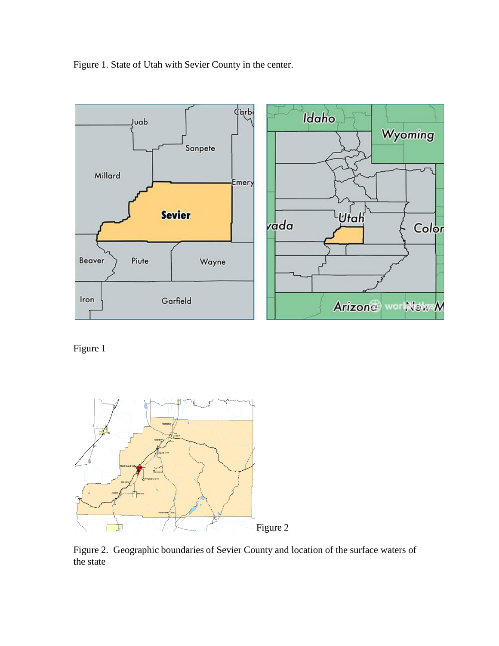



Figure 1



Figure 2. Geographic boundaries of Sevier County and location of the surface waters of the state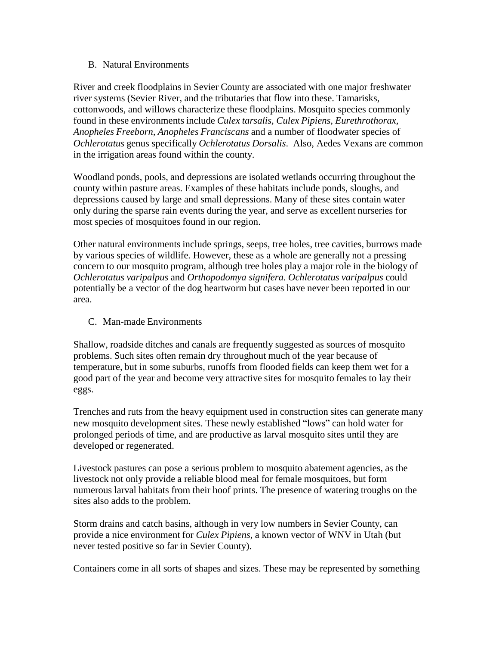## B. Natural Environments

River and creek floodplains in Sevier County are associated with one major freshwater river systems (Sevier River, and the tributaries that flow into these. Tamarisks, cottonwoods, and willows characterize these floodplains. Mosquito species commonly found in these environments include *Culex tarsalis, Culex Pipiens, Eurethrothorax, Anopheles Freeborn, Anopheles Franciscans* and a number of floodwater species of *Ochlerotatus* genus specifically *Ochlerotatus Dorsalis*. Also, Aedes Vexans are common in the irrigation areas found within the county.

Woodland ponds, pools, and depressions are isolated wetlands occurring throughout the county within pasture areas. Examples of these habitats include ponds, sloughs, and depressions caused by large and small depressions. Many of these sites contain water only during the sparse rain events during the year, and serve as excellent nurseries for most species of mosquitoes found in our region.

Other natural environments include springs, seeps, tree holes, tree cavities, burrows made by various species of wildlife. However, these as a whole are generally not a pressing concern to our mosquito program, although tree holes play a major role in the biology of *Ochlerotatus varipalpus* and *Orthopodomya signifera. Ochlerotatus varipalpus* could potentially be a vector of the dog heartworm but cases have never been reported in our area.

C. Man-made Environments

Shallow, roadside ditches and canals are frequently suggested as sources of mosquito problems. Such sites often remain dry throughout much of the year because of temperature, but in some suburbs, runoffs from flooded fields can keep them wet for a good part of the year and become very attractive sites for mosquito females to lay their eggs.

Trenches and ruts from the heavy equipment used in construction sites can generate many new mosquito development sites. These newly established "lows" can hold water for prolonged periods of time, and are productive as larval mosquito sites until they are developed or regenerated.

Livestock pastures can pose a serious problem to mosquito abatement agencies, as the livestock not only provide a reliable blood meal for female mosquitoes, but form numerous larval habitats from their hoof prints. The presence of watering troughs on the sites also adds to the problem.

Storm drains and catch basins, although in very low numbers in Sevier County, can provide a nice environment for *Culex Pipiens*, a known vector of WNV in Utah (but never tested positive so far in Sevier County).

Containers come in all sorts of shapes and sizes. These may be represented by something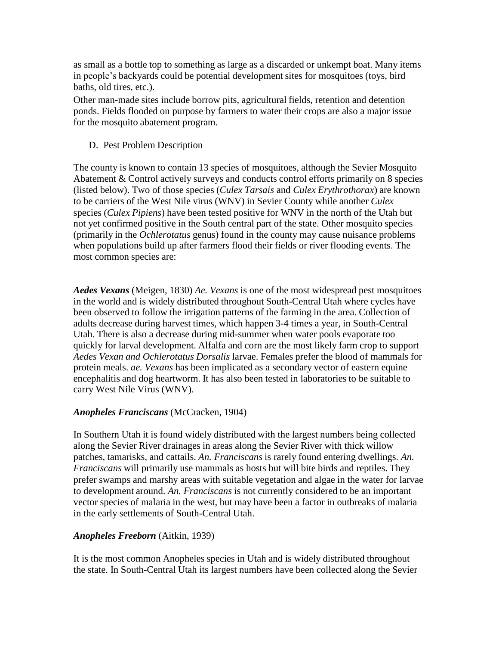as small as a bottle top to something as large as a discarded or unkempt boat. Many items in people's backyards could be potential development sites for mosquitoes (toys, bird baths, old tires, etc.).

Other man-made sites include borrow pits, agricultural fields, retention and detention ponds. Fields flooded on purpose by farmers to water their crops are also a major issue for the mosquito abatement program.

## D. Pest Problem Description

The county is known to contain 13 species of mosquitoes, although the Sevier Mosquito Abatement & Control actively surveys and conducts control efforts primarily on 8 species (listed below). Two of those species (*Culex Tarsais* and *Culex Erythrothorax*) are known to be carriers of the West Nile virus (WNV) in Sevier County while another *Culex* species (*Culex Pipiens*) have been tested positive for WNV in the north of the Utah but not yet confirmed positive in the South central part of the state. Other mosquito species (primarily in the *Ochlerotatus* genus) found in the county may cause nuisance problems when populations build up after farmers flood their fields or river flooding events. The most common species are:

*Aedes Vexans* (Meigen, 1830) *Ae. Vexans* is one of the most widespread pest mosquitoes in the world and is widely distributed throughout South-Central Utah where cycles have been observed to follow the irrigation patterns of the farming in the area. Collection of adults decrease during harvest times, which happen 3-4 times a year, in South-Central Utah. There is also a decrease during mid-summer when water pools evaporate too quickly for larval development. Alfalfa and corn are the most likely farm crop to support *Aedes Vexan and Ochlerotatus Dorsalis* larvae. Females prefer the blood of mammals for protein meals. *ae. Vexans* has been implicated as a secondary vector of eastern equine encephalitis and dog heartworm. It has also been tested in laboratories to be suitable to carry West Nile Virus (WNV).

### *Anopheles Franciscans* (McCracken, 1904)

In Southern Utah it is found widely distributed with the largest numbers being collected along the Sevier River drainages in areas along the Sevier River with thick willow patches, tamarisks, and cattails. *An. Franciscans* is rarely found entering dwellings. *An. Franciscans* will primarily use mammals as hosts but will bite birds and reptiles. They prefer swamps and marshy areas with suitable vegetation and algae in the water for larvae to development around. *An. Franciscans* is not currently considered to be an important vector species of malaria in the west, but may have been a factor in outbreaks of malaria in the early settlements of South-Central Utah.

# *Anopheles Freeborn* (Aitkin, 1939)

It is the most common Anopheles species in Utah and is widely distributed throughout the state. In South-Central Utah its largest numbers have been collected along the Sevier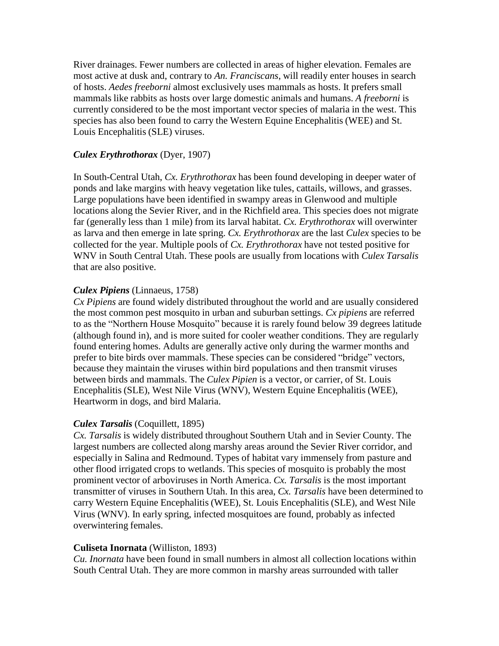River drainages. Fewer numbers are collected in areas of higher elevation. Females are most active at dusk and, contrary to *An. Franciscans*, will readily enter houses in search of hosts. *Aedes freeborni* almost exclusively uses mammals as hosts. It prefers small mammals like rabbits as hosts over large domestic animals and humans. *A freeborni* is currently considered to be the most important vector species of malaria in the west. This species has also been found to carry the Western Equine Encephalitis (WEE) and St. Louis Encephalitis (SLE) viruses.

## *Culex Erythrothorax* (Dyer, 1907)

In South-Central Utah, *Cx. Erythrothorax* has been found developing in deeper water of ponds and lake margins with heavy vegetation like tules, cattails, willows, and grasses. Large populations have been identified in swampy areas in Glenwood and multiple locations along the Sevier River, and in the Richfield area. This species does not migrate far (generally less than 1 mile) from its larval habitat. *Cx. Erythrothorax* will overwinter as larva and then emerge in late spring. *Cx. Erythrothorax* are the last *Culex* species to be collected for the year. Multiple pools of *Cx. Erythrothorax* have not tested positive for WNV in South Central Utah. These pools are usually from locations with *Culex Tarsalis*  that are also positive.

### *Culex Pipiens* (Linnaeus, 1758)

*Cx Pipiens* are found widely distributed throughout the world and are usually considered the most common pest mosquito in urban and suburban settings. *Cx pipiens* are referred to as the "Northern House Mosquito" because it is rarely found below 39 degrees latitude (although found in), and is more suited for cooler weather conditions. They are regularly found entering homes. Adults are generally active only during the warmer months and prefer to bite birds over mammals. These species can be considered "bridge" vectors, because they maintain the viruses within bird populations and then transmit viruses between birds and mammals. The *Culex Pipien* is a vector, or carrier, of St. Louis Encephalitis (SLE), West Nile Virus (WNV), Western Equine Encephalitis (WEE), Heartworm in dogs, and bird Malaria.

### *Culex Tarsalis* (Coquillett, 1895)

*Cx. Tarsalis* is widely distributed throughout Southern Utah and in Sevier County. The largest numbers are collected along marshy areas around the Sevier River corridor, and especially in Salina and Redmound. Types of habitat vary immensely from pasture and other flood irrigated crops to wetlands. This species of mosquito is probably the most prominent vector of arboviruses in North America. *Cx. Tarsalis* is the most important transmitter of viruses in Southern Utah. In this area, *Cx. Tarsalis* have been determined to carry Western Equine Encephalitis (WEE), St. Louis Encephalitis (SLE), and West Nile Virus (WNV). In early spring, infected mosquitoes are found, probably as infected overwintering females.

### **Culiseta Inornata** (Williston, 1893)

*Cu. Inornata* have been found in small numbers in almost all collection locations within South Central Utah. They are more common in marshy areas surrounded with taller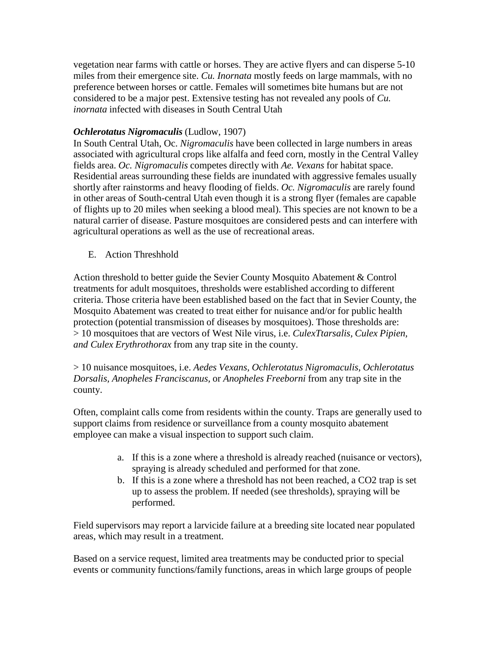vegetation near farms with cattle or horses. They are active flyers and can disperse 5-10 miles from their emergence site. *Cu. Inornata* mostly feeds on large mammals, with no preference between horses or cattle. Females will sometimes bite humans but are not considered to be a major pest. Extensive testing has not revealed any pools of *Cu. inornata* infected with diseases in South Central Utah

## *Ochlerotatus Nigromaculis* (Ludlow, 1907)

In South Central Utah, Oc. *Nigromaculis* have been collected in large numbers in areas associated with agricultural crops like alfalfa and feed corn, mostly in the Central Valley fields area. *Oc. Nigromaculis* competes directly with *Ae. Vexans* for habitat space. Residential areas surrounding these fields are inundated with aggressive females usually shortly after rainstorms and heavy flooding of fields. *Oc. Nigromaculis* are rarely found in other areas of South-central Utah even though it is a strong flyer (females are capable of flights up to 20 miles when seeking a blood meal). This species are not known to be a natural carrier of disease. Pasture mosquitoes are considered pests and can interfere with agricultural operations as well as the use of recreational areas.

E. Action Threshhold

Action threshold to better guide the Sevier County Mosquito Abatement & Control treatments for adult mosquitoes, thresholds were established according to different criteria. Those criteria have been established based on the fact that in Sevier County, the Mosquito Abatement was created to treat either for nuisance and/or for public health protection (potential transmission of diseases by mosquitoes). Those thresholds are: > 10 mosquitoes that are vectors of West Nile virus, i.e. *CulexTtarsalis, Culex Pipien, and Culex Erythrothorax* from any trap site in the county.

> 10 nuisance mosquitoes, i.e. *Aedes Vexans, Ochlerotatus Nigromaculis, Ochlerotatus Dorsalis, Anopheles Franciscanus,* or *Anopheles Freeborni* from any trap site in the county.

Often, complaint calls come from residents within the county. Traps are generally used to support claims from residence or surveillance from a county mosquito abatement employee can make a visual inspection to support such claim.

- a. If this is a zone where a threshold is already reached (nuisance or vectors), spraying is already scheduled and performed for that zone.
- b. If this is a zone where a threshold has not been reached, a CO2 trap is set up to assess the problem. If needed (see thresholds), spraying will be performed.

Field supervisors may report a larvicide failure at a breeding site located near populated areas, which may result in a treatment.

Based on a service request, limited area treatments may be conducted prior to special events or community functions/family functions, areas in which large groups of people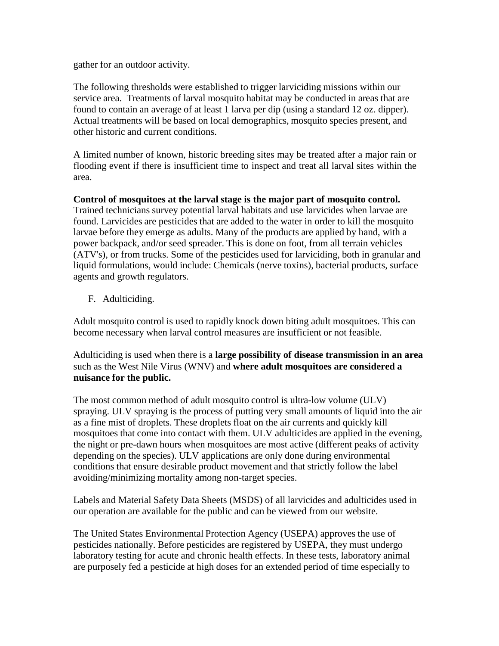gather for an outdoor activity.

The following thresholds were established to trigger larviciding missions within our service area. Treatments of larval mosquito habitat may be conducted in areas that are found to contain an average of at least 1 larva per dip (using a standard 12 oz. dipper). Actual treatments will be based on local demographics, mosquito species present, and other historic and current conditions.

A limited number of known, historic breeding sites may be treated after a major rain or flooding event if there is insufficient time to inspect and treat all larval sites within the area.

# **Control of mosquitoes at the larval stage is the major part of mosquito control.**

Trained technicians survey potential larval habitats and use larvicides when larvae are found. Larvicides are pesticides that are added to the water in order to kill the mosquito larvae before they emerge as adults. Many of the products are applied by hand, with a power backpack, and/or seed spreader. This is done on foot, from all terrain vehicles (ATV's), or from trucks. Some of the pesticides used for larviciding, both in granular and liquid formulations, would include: Chemicals (nerve toxins), bacterial products, surface agents and growth regulators.

F. Adulticiding.

Adult mosquito control is used to rapidly knock down biting adult mosquitoes. This can become necessary when larval control measures are insufficient or not feasible.

Adulticiding is used when there is a **large possibility of disease transmission in an area**  such as the West Nile Virus (WNV) and **where adult mosquitoes are considered a nuisance for the public.**

The most common method of adult mosquito control is ultra-low volume (ULV) spraying. ULV spraying is the process of putting very small amounts of liquid into the air as a fine mist of droplets. These droplets float on the air currents and quickly kill mosquitoes that come into contact with them. ULV adulticides are applied in the evening, the night or pre-dawn hours when mosquitoes are most active (different peaks of activity depending on the species). ULV applications are only done during environmental conditions that ensure desirable product movement and that strictly follow the label avoiding/minimizing mortality among non-target species.

Labels and Material Safety Data Sheets (MSDS) of all larvicides and adulticides used in our operation are available for the public and can be viewed from our website.

The United States Environmental Protection Agency (USEPA) approves the use of pesticides nationally. Before pesticides are registered by USEPA, they must undergo laboratory testing for acute and chronic health effects. In these tests, laboratory animal are purposely fed a pesticide at high doses for an extended period of time especially to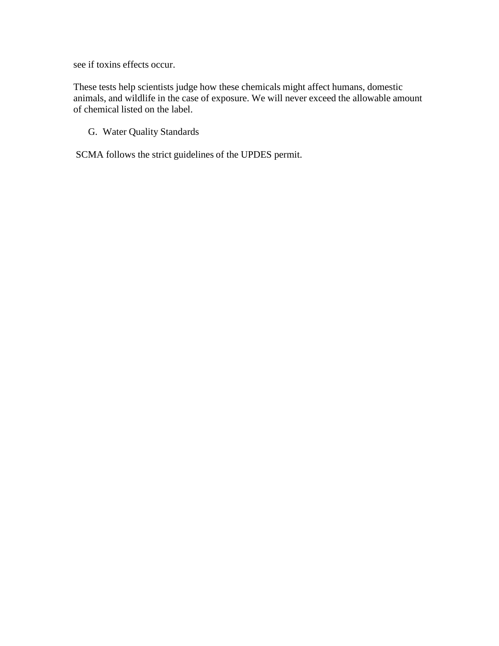see if toxins effects occur.

These tests help scientists judge how these chemicals might affect humans, domestic animals, and wildlife in the case of exposure. We will never exceed the allowable amount of chemical listed on the label.

G. Water Quality Standards

SCMA follows the strict guidelines of the UPDES permit.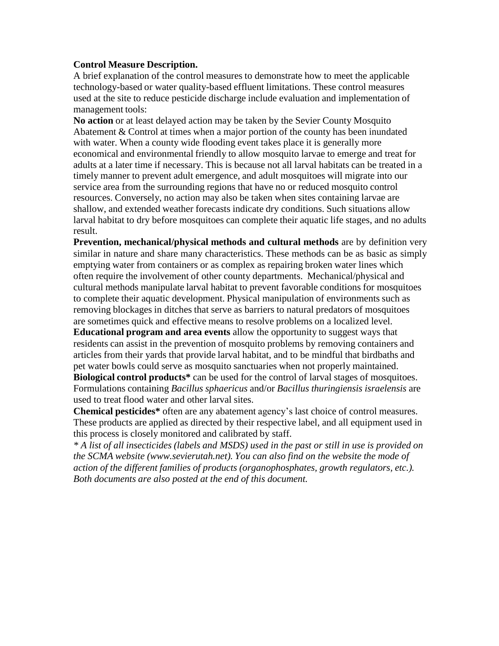#### **Control Measure Description.**

A brief explanation of the control measures to demonstrate how to meet the applicable technology-based or water quality-based effluent limitations. These control measures used at the site to reduce pesticide discharge include evaluation and implementation of management tools:

**No action** or at least delayed action may be taken by the Sevier County Mosquito Abatement & Control at times when a major portion of the county has been inundated with water. When a county wide flooding event takes place it is generally more economical and environmental friendly to allow mosquito larvae to emerge and treat for adults at a later time if necessary. This is because not all larval habitats can be treated in a timely manner to prevent adult emergence, and adult mosquitoes will migrate into our service area from the surrounding regions that have no or reduced mosquito control resources. Conversely, no action may also be taken when sites containing larvae are shallow, and extended weather forecasts indicate dry conditions. Such situations allow larval habitat to dry before mosquitoes can complete their aquatic life stages, and no adults result.

**Prevention, mechanical/physical methods and cultural methods** are by definition very similar in nature and share many characteristics. These methods can be as basic as simply emptying water from containers or as complex as repairing broken water lines which often require the involvement of other county departments. Mechanical/physical and cultural methods manipulate larval habitat to prevent favorable conditions for mosquitoes to complete their aquatic development. Physical manipulation of environments such as removing blockages in ditches that serve as barriers to natural predators of mosquitoes are sometimes quick and effective means to resolve problems on a localized level.

**Educational program and area events** allow the opportunity to suggest ways that residents can assist in the prevention of mosquito problems by removing containers and articles from their yards that provide larval habitat, and to be mindful that birdbaths and pet water bowls could serve as mosquito sanctuaries when not properly maintained.

**Biological control products\*** can be used for the control of larval stages of mosquitoes. Formulations containing *Bacillus sphaericus* and/or *Bacillus thuringiensis israelensis* are used to treat flood water and other larval sites.

**Chemical pesticides\*** often are any abatement agency's last choice of control measures. These products are applied as directed by their respective label, and all equipment used in this process is closely monitored and calibrated by staff.

*\* A list of all insecticides (labels and MSDS) used in the past or still in use is provided on the SCMA website (www.sevierutah.net). You can also find on the website the mode of action of the different families of products (organophosphates, growth regulators, etc.). Both documents are also posted at the end of this document.*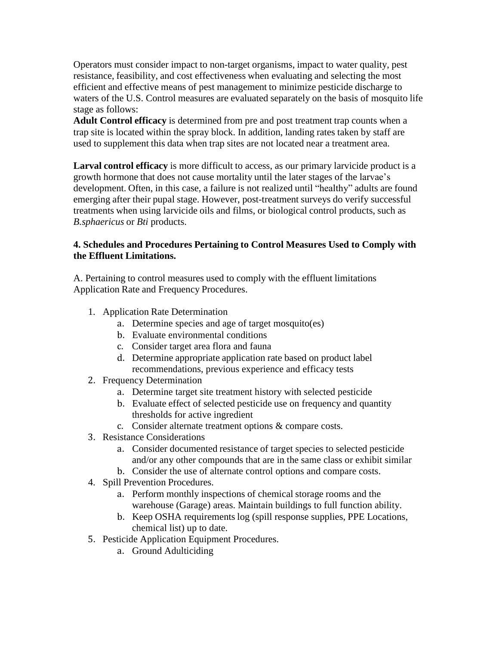Operators must consider impact to non-target organisms, impact to water quality, pest resistance, feasibility, and cost effectiveness when evaluating and selecting the most efficient and effective means of pest management to minimize pesticide discharge to waters of the U.S. Control measures are evaluated separately on the basis of mosquito life stage as follows:

**Adult Control efficacy** is determined from pre and post treatment trap counts when a trap site is located within the spray block. In addition, landing rates taken by staff are used to supplement this data when trap sites are not located near a treatment area.

**Larval control efficacy** is more difficult to access, as our primary larvicide product is a growth hormone that does not cause mortality until the later stages of the larvae's development. Often, in this case, a failure is not realized until "healthy" adults are found emerging after their pupal stage. However, post-treatment surveys do verify successful treatments when using larvicide oils and films, or biological control products, such as *B.sphaericus* or *Bti* products.

# **4. Schedules and Procedures Pertaining to Control Measures Used to Comply with the Effluent Limitations.**

A. Pertaining to control measures used to comply with the effluent limitations Application Rate and Frequency Procedures.

- 1. Application Rate Determination
	- a. Determine species and age of target mosquito(es)
	- b. Evaluate environmental conditions
	- c. Consider target area flora and fauna
	- d. Determine appropriate application rate based on product label recommendations, previous experience and efficacy tests
- 2. Frequency Determination
	- a. Determine target site treatment history with selected pesticide
	- b. Evaluate effect of selected pesticide use on frequency and quantity thresholds for active ingredient
	- c. Consider alternate treatment options & compare costs.
- 3. Resistance Considerations
	- a. Consider documented resistance of target species to selected pesticide and/or any other compounds that are in the same class or exhibit similar
	- b. Consider the use of alternate control options and compare costs.
- 4. Spill Prevention Procedures.
	- a. Perform monthly inspections of chemical storage rooms and the warehouse (Garage) areas. Maintain buildings to full function ability.
	- b. Keep OSHA requirements log (spill response supplies, PPE Locations, chemical list) up to date.
- 5. Pesticide Application Equipment Procedures.
	- a. Ground Adulticiding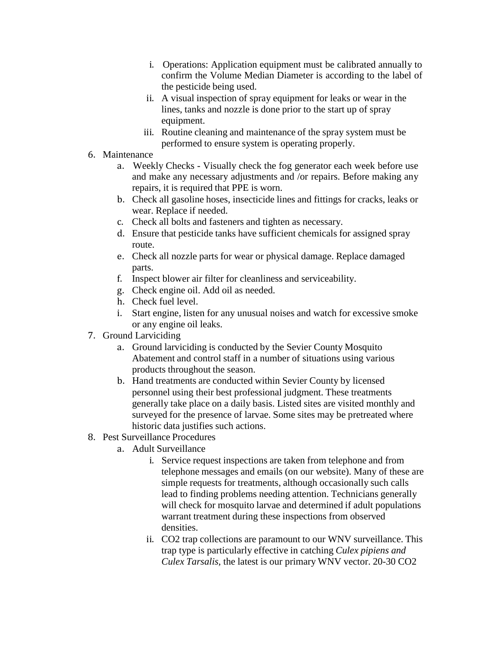- i. Operations: Application equipment must be calibrated annually to confirm the Volume Median Diameter is according to the label of the pesticide being used.
- ii. A visual inspection of spray equipment for leaks or wear in the lines, tanks and nozzle is done prior to the start up of spray equipment.
- iii. Routine cleaning and maintenance of the spray system must be performed to ensure system is operating properly.
- 6. Maintenance
	- a. Weekly Checks Visually check the fog generator each week before use and make any necessary adjustments and /or repairs. Before making any repairs, it is required that PPE is worn.
	- b. Check all gasoline hoses, insecticide lines and fittings for cracks, leaks or wear. Replace if needed.
	- c. Check all bolts and fasteners and tighten as necessary.
	- d. Ensure that pesticide tanks have sufficient chemicals for assigned spray route.
	- e. Check all nozzle parts for wear or physical damage. Replace damaged parts.
	- f. Inspect blower air filter for cleanliness and serviceability.
	- g. Check engine oil. Add oil as needed.
	- h. Check fuel level.
	- i. Start engine, listen for any unusual noises and watch for excessive smoke or any engine oil leaks.
- 7. Ground Larviciding
	- a. Ground larviciding is conducted by the Sevier County Mosquito Abatement and control staff in a number of situations using various products throughout the season.
	- b. Hand treatments are conducted within Sevier County by licensed personnel using their best professional judgment. These treatments generally take place on a daily basis. Listed sites are visited monthly and surveyed for the presence of larvae. Some sites may be pretreated where historic data justifies such actions.
- 8. Pest Surveillance Procedures
	- a. Adult Surveillance
		- i. Service request inspections are taken from telephone and from telephone messages and emails (on our website). Many of these are simple requests for treatments, although occasionally such calls lead to finding problems needing attention. Technicians generally will check for mosquito larvae and determined if adult populations warrant treatment during these inspections from observed densities.
		- ii. CO2 trap collections are paramount to our WNV surveillance. This trap type is particularly effective in catching *Culex pipiens and Culex Tarsalis,* the latest is our primary WNV vector. 20-30 CO2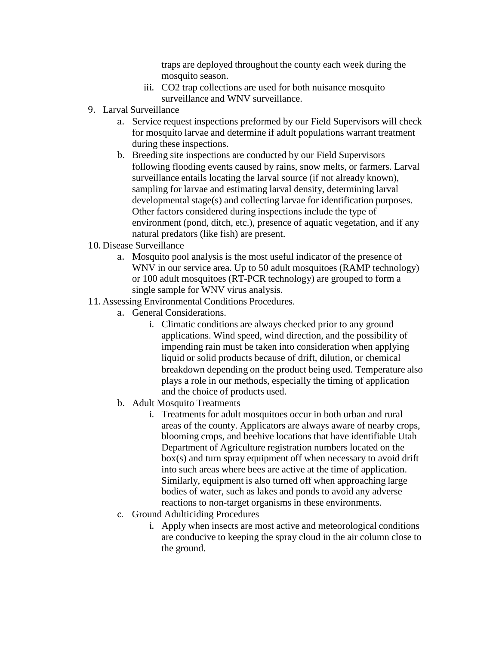traps are deployed throughout the county each week during the mosquito season.

- iii. CO2 trap collections are used for both nuisance mosquito surveillance and WNV surveillance.
- 9. Larval Surveillance
	- a. Service request inspections preformed by our Field Supervisors will check for mosquito larvae and determine if adult populations warrant treatment during these inspections.
	- b. Breeding site inspections are conducted by our Field Supervisors following flooding events caused by rains, snow melts, or farmers. Larval surveillance entails locating the larval source (if not already known), sampling for larvae and estimating larval density, determining larval developmental stage(s) and collecting larvae for identification purposes. Other factors considered during inspections include the type of environment (pond, ditch, etc.), presence of aquatic vegetation, and if any natural predators (like fish) are present.
- 10. Disease Surveillance
	- a. Mosquito pool analysis is the most useful indicator of the presence of WNV in our service area. Up to 50 adult mosquitoes (RAMP technology) or 100 adult mosquitoes (RT-PCR technology) are grouped to form a single sample for WNV virus analysis.
- 11. Assessing Environmental Conditions Procedures.
	- a. General Considerations.
		- i. Climatic conditions are always checked prior to any ground applications. Wind speed, wind direction, and the possibility of impending rain must be taken into consideration when applying liquid or solid products because of drift, dilution, or chemical breakdown depending on the product being used. Temperature also plays a role in our methods, especially the timing of application and the choice of products used.
	- b. Adult Mosquito Treatments
		- i. Treatments for adult mosquitoes occur in both urban and rural areas of the county. Applicators are always aware of nearby crops, blooming crops, and beehive locations that have identifiable Utah Department of Agriculture registration numbers located on the box(s) and turn spray equipment off when necessary to avoid drift into such areas where bees are active at the time of application. Similarly, equipment is also turned off when approaching large bodies of water, such as lakes and ponds to avoid any adverse reactions to non-target organisms in these environments.
	- c. Ground Adulticiding Procedures
		- i. Apply when insects are most active and meteorological conditions are conducive to keeping the spray cloud in the air column close to the ground.